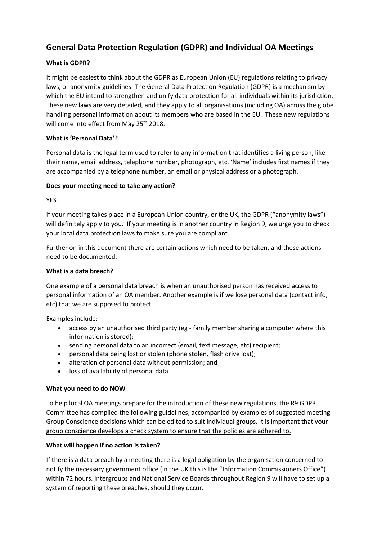# **General Data Protection Regulation (GDPR) and Individual OA Meetings**

## **What is GDPR?**

It might be easiest to think about the GDPR as European Union (EU) regulations relating to privacy laws, or anonymity guidelines. The General Data Protection Regulation (GDPR) is a mechanism by which the EU intend to strengthen and unify data protection for all individuals within its jurisdiction. These new laws are very detailed, and they apply to all organisations (including OA) across the globe handling personal information about its members who are based in the EU. These new regulations will come into effect from May 25<sup>th</sup> 2018.

### **What is 'Personal Data'?**

Personal data is the legal term used to refer to any information that identifies a living person, like their name, email address, telephone number, photograph, etc. 'Name' includes first names if they are accompanied by a telephone number, an email or physical address or a photograph.

## **Does your meeting need to take any action?**

YES.

If your meeting takes place in a European Union country, or the UK, the GDPR ("anonymity laws") will definitely apply to you. If your meeting is in another country in Region 9, we urge you to check your local data protection laws to make sure you are compliant.

Further on in this document there are certain actions which need to be taken, and these actions need to be documented.

### **What is a data breach?**

One example of a personal data breach is when an unauthorised person has received access to personal information of an OA member. Another example is if we lose personal data (contact info, etc) that we are supposed to protect.

Examples include:

- access by an unauthorised third party (eg family member sharing a computer where this information is stored);
- sending personal data to an incorrect (email, text message, etc) recipient;
- personal data being lost or stolen (phone stolen, flash drive lost);
- alteration of personal data without permission; and
- loss of availability of personal data.

### **What you need to do NOW**

To help local OA meetings prepare for the introduction of these new regulations, the R9 GDPR Committee has compiled the following guidelines, accompanied by examples of suggested meeting Group Conscience decisions which can be edited to suit individual groups. It is important that your group conscience develops a check system to ensure that the policies are adhered to.

### **What will happen if no action is taken?**

If there is a data breach by a meeting there is a legal obligation by the organisation concerned to notify the necessary government office (in the UK this is the "Information Commissioners Office") within 72 hours. Intergroups and National Service Boards throughout Region 9 will have to set up a system of reporting these breaches, should they occur.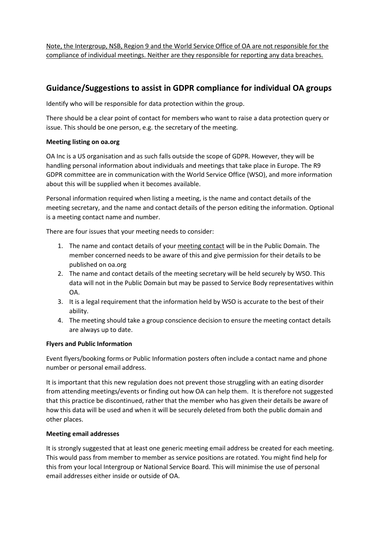Note, the Intergroup, NSB, Region 9 and the World Service Office of OA are not responsible for the compliance of individual meetings. Neither are they responsible for reporting any data breaches.

## **Guidance/Suggestions to assist in GDPR compliance for individual OA groups**

Identify who will be responsible for data protection within the group.

There should be a clear point of contact for members who want to raise a data protection query or issue. This should be one person, e.g. the secretary of the meeting.

### **Meeting listing on oa.org**

OA Inc is a US organisation and as such falls outside the scope of GDPR. However, they will be handling personal information about individuals and meetings that take place in Europe. The R9 GDPR committee are in communication with the World Service Office (WSO), and more information about this will be supplied when it becomes available.

Personal information required when listing a meeting, is the name and contact details of the meeting secretary, and the name and contact details of the person editing the information. Optional is a meeting contact name and number.

There are four issues that your meeting needs to consider:

- 1. The name and contact details of your meeting contact will be in the Public Domain. The member concerned needs to be aware of this and give permission for their details to be published on oa.org
- 2. The name and contact details of the meeting secretary will be held securely by WSO. This data will not in the Public Domain but may be passed to Service Body representatives within OA.
- 3. It is a legal requirement that the information held by WSO is accurate to the best of their ability.
- 4. The meeting should take a group conscience decision to ensure the meeting contact details are always up to date.

### **Flyers and Public Information**

Event flyers/booking forms or Public Information posters often include a contact name and phone number or personal email address.

It is important that this new regulation does not prevent those struggling with an eating disorder from attending meetings/events or finding out how OA can help them. It is therefore not suggested that this practice be discontinued, rather that the member who has given their details be aware of how this data will be used and when it will be securely deleted from both the public domain and other places.

### **Meeting email addresses**

It is strongly suggested that at least one generic meeting email address be created for each meeting. This would pass from member to member as service positions are rotated. You might find help for this from your local Intergroup or National Service Board. This will minimise the use of personal email addresses either inside or outside of OA.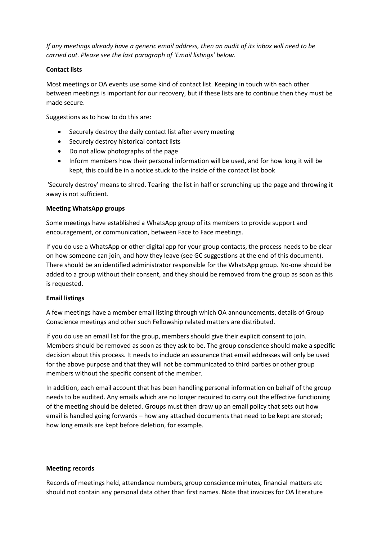*If any meetings already have a generic email address, then an audit of its inbox will need to be carried out. Please see the last paragraph of 'Email listings' below.*

#### **Contact lists**

Most meetings or OA events use some kind of contact list. Keeping in touch with each other between meetings is important for our recovery, but if these lists are to continue then they must be made secure.

Suggestions as to how to do this are:

- Securely destroy the daily contact list after every meeting
- Securely destroy historical contact lists
- Do not allow photographs of the page
- Inform members how their personal information will be used, and for how long it will be kept, this could be in a notice stuck to the inside of the contact list book

'Securely destroy' means to shred. Tearing the list in half or scrunching up the page and throwing it away is not sufficient.

#### **Meeting WhatsApp groups**

Some meetings have established a WhatsApp group of its members to provide support and encouragement, or communication, between Face to Face meetings.

If you do use a WhatsApp or other digital app for your group contacts, the process needs to be clear on how someone can join, and how they leave (see GC suggestions at the end of this document). There should be an identified administrator responsible for the WhatsApp group. No-one should be added to a group without their consent, and they should be removed from the group as soon as this is requested.

### **Email listings**

A few meetings have a member email listing through which OA announcements, details of Group Conscience meetings and other such Fellowship related matters are distributed.

If you do use an email list for the group, members should give their explicit consent to join. Members should be removed as soon as they ask to be. The group conscience should make a specific decision about this process. It needs to include an assurance that email addresses will only be used for the above purpose and that they will not be communicated to third parties or other group members without the specific consent of the member.

In addition, each email account that has been handling personal information on behalf of the group needs to be audited. Any emails which are no longer required to carry out the effective functioning of the meeting should be deleted. Groups must then draw up an email policy that sets out how email is handled going forwards – how any attached documents that need to be kept are stored; how long emails are kept before deletion, for example.

#### **Meeting records**

Records of meetings held, attendance numbers, group conscience minutes, financial matters etc should not contain any personal data other than first names. Note that invoices for OA literature